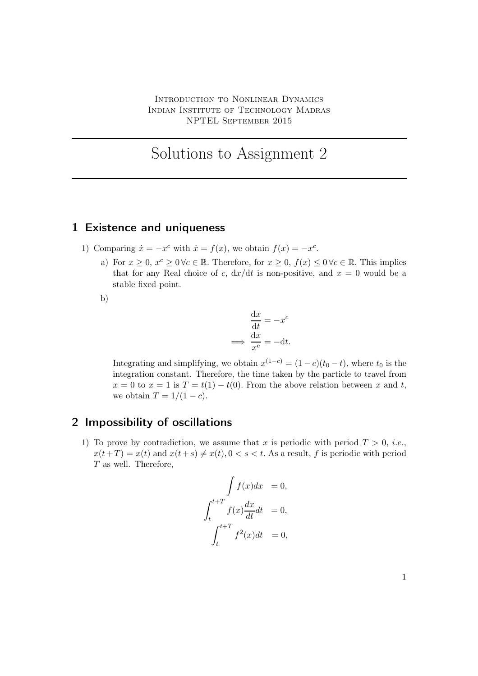## Solutions to Assignment 2

## 1 Existence and uniqueness

- 1) Comparing  $\dot{x} = -x^c$  with  $\dot{x} = f(x)$ , we obtain  $f(x) = -x^c$ .
	- a) For  $x \geq 0$ ,  $x^c \geq 0 \forall c \in \mathbb{R}$ . Therefore, for  $x \geq 0$ ,  $f(x) \leq 0 \forall c \in \mathbb{R}$ . This implies that for any Real choice of c,  $dx/dt$  is non-positive, and  $x = 0$  would be a stable fixed point.
	- b)

$$
\frac{dx}{dt} = -x^{c}
$$

$$
\implies \frac{dx}{x^{c}} = -dt.
$$

Integrating and simplifying, we obtain  $x^{(1-c)} = (1-c)(t_0-t)$ , where  $t_0$  is the integration constant. Therefore, the time taken by the particle to travel from  $x = 0$  to  $x = 1$  is  $T = t(1) - t(0)$ . From the above relation between x and t, we obtain  $T = 1/(1 - c)$ .

## 2 Impossibility of oscillations

1) To prove by contradiction, we assume that x is periodic with period  $T > 0$ , *i.e.*,  $x(t+T) = x(t)$  and  $x(t+s) \neq x(t)$ ,  $0 < s < t$ . As a result, f is periodic with period T as well. Therefore,

$$
\int f(x)dx = 0,
$$
  

$$
\int_{t}^{t+T} f(x) \frac{dx}{dt} dt = 0,
$$
  

$$
\int_{t}^{t+T} f^{2}(x)dt = 0,
$$

1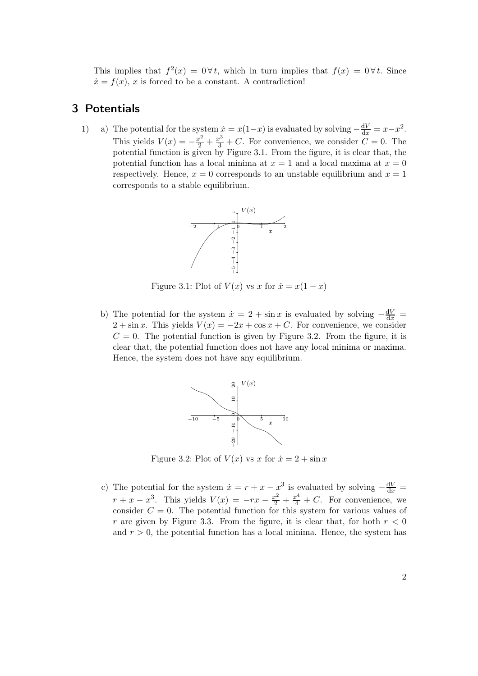This implies that  $f^2(x) = 0 \forall t$ , which in turn implies that  $f(x) = 0 \forall t$ . Since  $\dot{x} = f(x), x$  is forced to be a constant. A contradiction!

## 3 Potentials

1) a) The potential for the system  $\dot{x} = x(1-x)$  is evaluated by solving  $-\frac{dV}{dx} = x-x^2$ . This yields  $V(x) = -\frac{x^2}{2} + \frac{x^3}{3} + C$ . For convenience, we consider  $C = 0$ . The potential function is given by Figure 3.1. From the figure, it is clear that, the potential function has a local minima at  $x = 1$  and a local maxima at  $x = 0$ respectively. Hence,  $x = 0$  corresponds to an unstable equilibrium and  $x = 1$ corresponds to a stable equilibrium.



Figure 3.1: Plot of  $V(x)$  vs x for  $\dot{x} = x(1-x)$ 

b) The potential for the system  $\dot{x} = 2 + \sin x$  is evaluated by solving  $-\frac{dV}{dx} =$  $2 + \sin x$ . This yields  $V(x) = -2x + \cos x + C$ . For convenience, we consider  $C = 0$ . The potential function is given by Figure 3.2. From the figure, it is clear that, the potential function does not have any local minima or maxima. Hence, the system does not have any equilibrium.



Figure 3.2: Plot of  $V(x)$  vs x for  $\dot{x} = 2 + \sin x$ 

c) The potential for the system  $\dot{x} = r + x - x^3$  is evaluated by solving  $-\frac{dV}{dx} =$  $r + x - x^3$ . This yields  $V(x) = -rx - \frac{x^2}{2} + \frac{x^4}{4} + C$ . For convenience, we consider  $C = 0$ . The potential function for this system for various values of r are given by Figure 3.3. From the figure, it is clear that, for both  $r < 0$ and  $r > 0$ , the potential function has a local minima. Hence, the system has